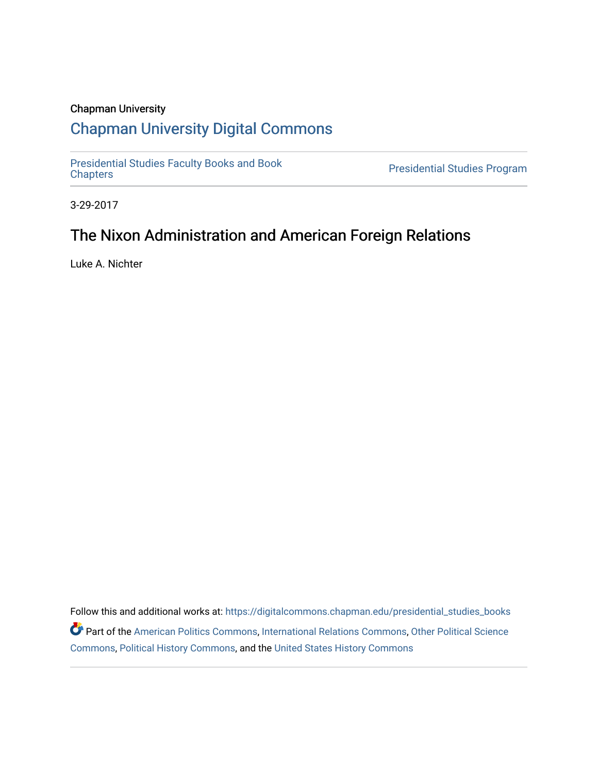#### Chapman University

## [Chapman University Digital Commons](https://digitalcommons.chapman.edu/)

[Presidential Studies Faculty Books and Book](https://digitalcommons.chapman.edu/presidential_studies_books) 

Presidential Studies Program

3-29-2017

## The Nixon Administration and American Foreign Relations

Luke A. Nichter

Follow this and additional works at: [https://digitalcommons.chapman.edu/presidential\\_studies\\_books](https://digitalcommons.chapman.edu/presidential_studies_books?utm_source=digitalcommons.chapman.edu%2Fpresidential_studies_books%2F1&utm_medium=PDF&utm_campaign=PDFCoverPages) Part of the [American Politics Commons,](http://network.bepress.com/hgg/discipline/387?utm_source=digitalcommons.chapman.edu%2Fpresidential_studies_books%2F1&utm_medium=PDF&utm_campaign=PDFCoverPages) [International Relations Commons,](http://network.bepress.com/hgg/discipline/389?utm_source=digitalcommons.chapman.edu%2Fpresidential_studies_books%2F1&utm_medium=PDF&utm_campaign=PDFCoverPages) [Other Political Science](http://network.bepress.com/hgg/discipline/392?utm_source=digitalcommons.chapman.edu%2Fpresidential_studies_books%2F1&utm_medium=PDF&utm_campaign=PDFCoverPages)  [Commons](http://network.bepress.com/hgg/discipline/392?utm_source=digitalcommons.chapman.edu%2Fpresidential_studies_books%2F1&utm_medium=PDF&utm_campaign=PDFCoverPages), [Political History Commons](http://network.bepress.com/hgg/discipline/505?utm_source=digitalcommons.chapman.edu%2Fpresidential_studies_books%2F1&utm_medium=PDF&utm_campaign=PDFCoverPages), and the [United States History Commons](http://network.bepress.com/hgg/discipline/495?utm_source=digitalcommons.chapman.edu%2Fpresidential_studies_books%2F1&utm_medium=PDF&utm_campaign=PDFCoverPages)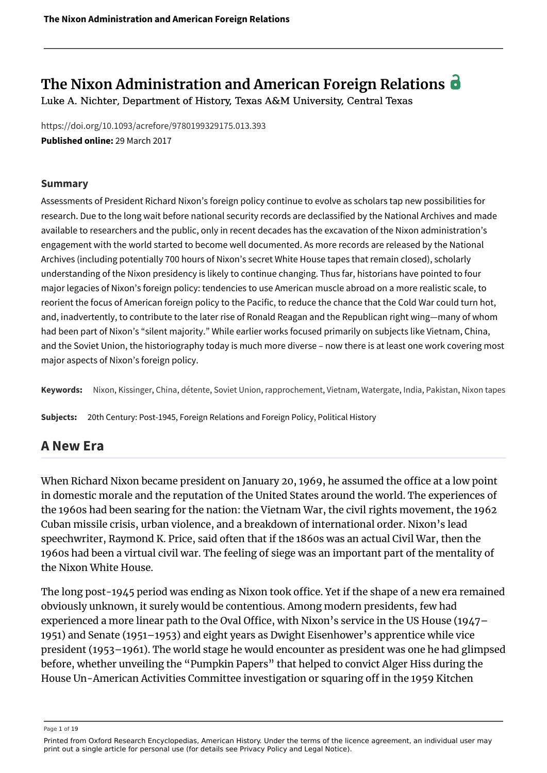# **The Nixon Administration and American Foreign Relations**

Luke A. Nichter, Department of History, Texas A&M University, Central Texas

<https://doi.org/10.1093/acrefore/9780199329175.013.393> **Published online:** 29 March 2017

#### **Summary**

Assessments of President Richard Nixon's foreign policy continue to evolve as scholars tap new possibilities for research. Due to the long wait before national security records are declassified by the National Archives and made available to researchers and the public, only in recent decades has the excavation of the Nixon administration's engagement with the world started to become well documented. As more records are released by the National Archives (including potentially 700 hours of Nixon's secret White House tapes that remain closed), scholarly understanding of the Nixon presidency is likely to continue changing. Thus far, historians have pointed to four major legacies of Nixon's foreign policy: tendencies to use American muscle abroad on a more realistic scale, to reorient the focus of American foreign policy to the Pacific, to reduce the chance that the Cold War could turn hot, and, inadvertently, to contribute to the later rise of Ronald Reagan and the Republican right wing—many of whom had been part of Nixon's "silent majority." While earlier works focused primarily on subjects like Vietnam, China, and the Soviet Union, the historiography today is much more diverse – now there is at least one work covering most major aspects of Nixon's foreign policy.

**Keywords:** [Nixon,](https://oxfordre.com/americanhistory/search?btog=chap&f_0=keyword&q_0=Nixon) [Kissinger](https://oxfordre.com/americanhistory/search?btog=chap&f_0=keyword&q_0=Kissinger), [China,](https://oxfordre.com/americanhistory/search?btog=chap&f_0=keyword&q_0=China) [détente,](https://oxfordre.com/americanhistory/search?btog=chap&f_0=keyword&q_0=d%C3%A9tente) [Soviet Union](https://oxfordre.com/americanhistory/search?btog=chap&f_0=keyword&q_0=Soviet Union), [rapprochement](https://oxfordre.com/americanhistory/search?btog=chap&f_0=keyword&q_0=rapprochement), [Vietnam](https://oxfordre.com/americanhistory/search?btog=chap&f_0=keyword&q_0=Vietnam), [Watergate,](https://oxfordre.com/americanhistory/search?btog=chap&f_0=keyword&q_0=Watergate) [India](https://oxfordre.com/americanhistory/search?btog=chap&f_0=keyword&q_0=India), [Pakistan](https://oxfordre.com/americanhistory/search?btog=chap&f_0=keyword&q_0=Pakistan), [Nixon tapes](https://oxfordre.com/americanhistory/search?btog=chap&f_0=keyword&q_0=Nixon tapes)

**Subjects:** 20th Century: Post-1945, Foreign Relations and Foreign Policy, Political History

#### **A New Era**

When Richard Nixon became president on January 20, 1969, he assumed the office at a low point in domestic morale and the reputation of the United States around the world. The experiences of the 1960s had been searing for the nation: the Vietnam War, the civil rights movement, the 1962 Cuban missile crisis, urban violence, and a breakdown of international order. Nixon's lead speechwriter, Raymond K. Price, said often that if the 1860s was an actual Civil War, then the 1960s had been a virtual civil war. The feeling of siege was an important part of the mentality of the Nixon White House.

The long post-1945 period was ending as Nixon took office. Yet if the shape of a new era remained obviously unknown, it surely would be contentious. Among modern presidents, few had experienced a more linear path to the Oval Office, with Nixon's service in the US House (1947– 1951) and Senate (1951–1953) and eight years as Dwight Eisenhower's apprentice while vice president (1953–1961). The world stage he would encounter as president was one he had glimpsed before, whether unveiling the "Pumpkin Papers" that helped to convict Alger Hiss during the House Un-American Activities Committee investigation or squaring off in the 1959 Kitchen

Page 1 of 19

Printed from Oxford Research Encyclopedias, American History. Under the terms of the licence agreement, an individual user may print out a single article for personal use (for details see Privacy Policy and Legal Notice).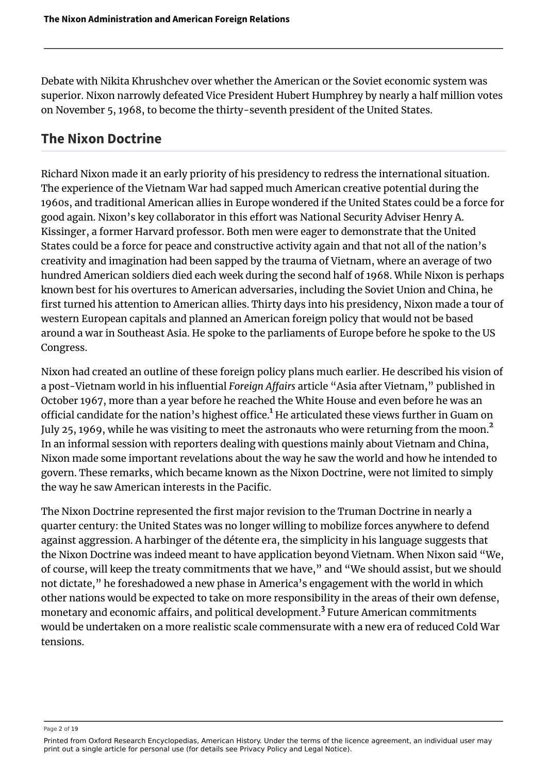Debate with Nikita Khrushchev over whether the American or the Soviet economic system was superior. Nixon narrowly defeated Vice President Hubert Humphrey by nearly a half million votes on November 5, 1968, to become the thirty-seventh president of the United States.

### **The Nixon Doctrine**

Richard Nixon made it an early priority of his presidency to redress the international situation. The experience of the Vietnam War had sapped much American creative potential during the 1960s, and traditional American allies in Europe wondered if the United States could be a force for good again. Nixon's key collaborator in this effort was National Security Adviser Henry A. Kissinger, a former Harvard professor. Both men were eager to demonstrate that the United States could be a force for peace and constructive activity again and that not all of the nation's creativity and imagination had been sapped by the trauma of Vietnam, where an average of two hundred American soldiers died each week during the second half of 1968. While Nixon is perhaps known best for his overtures to American adversaries, including the Soviet Union and China, he first turned his attention to American allies. Thirty days into his presidency, Nixon made a tour of western European capitals and planned an American foreign policy that would not be based around a war in Southeast Asia. He spoke to the parliaments of Europe before he spoke to the US Congress.

<span id="page-2-1"></span><span id="page-2-0"></span>Nixon had created an outline of these foreign policy plans much earlier. He described his vision of a post-Vietnam world in his influential *Foreign Affairs* article "Asia after Vietnam," published in October 1967, more than a year before he reached the White House and even before he was an official candidate for the nation's highest office.<sup>[1](#page-16-0)</sup> He articulated these views further in Guam on July [2](#page-17-0)5, 1969, while he was visiting to meet the astronauts who were returning from the moon.<sup>2</sup> In an informal session with reporters dealing with questions mainly about Vietnam and China, Nixon made some important revelations about the way he saw the world and how he intended to govern. These remarks, which became known as the Nixon Doctrine, were not limited to simply the way he saw American interests in the Pacific.

<span id="page-2-2"></span>The Nixon Doctrine represented the first major revision to the Truman Doctrine in nearly a quarter century: the United States was no longer willing to mobilize forces anywhere to defend against aggression. A harbinger of the détente era, the simplicity in his language suggests that the Nixon Doctrine was indeed meant to have application beyond Vietnam. When Nixon said "We, of course, will keep the treaty commitments that we have," and "We should assist, but we should not dictate," he foreshadowed a new phase in America's engagement with the world in which other nations would be expected to take on more responsibility in the areas of their own defense, monetary and economic affairs, and political development. $^3$  $^3$  Future American commitments would be undertaken on a more realistic scale commensurate with a new era of reduced Cold War tensions.

Page 2 of 19

Printed from Oxford Research Encyclopedias, American History. Under the terms of the licence agreement, an individual user may print out a single article for personal use (for details see Privacy Policy and Legal Notice).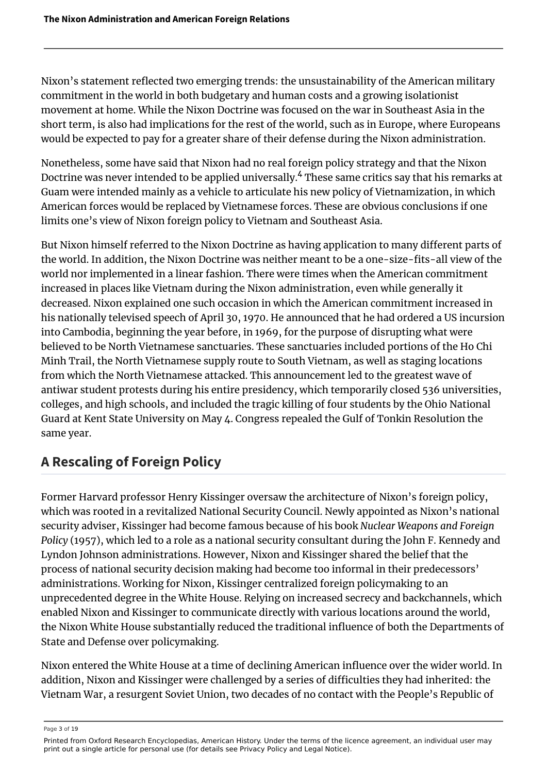Nixon's statement reflected two emerging trends: the unsustainability of the American military commitment in the world in both budgetary and human costs and a growing isolationist movement at home. While the Nixon Doctrine was focused on the war in Southeast Asia in the short term, is also had implications for the rest of the world, such as in Europe, where Europeans would be expected to pay for a greater share of their defense during the Nixon administration.

<span id="page-3-0"></span>Nonetheless, some have said that Nixon had no real foreign policy strategy and that the Nixon Doctrine was never intended to be applied universally.<sup>[4](#page-17-2)</sup> These same critics say that his remarks at Guam were intended mainly as a vehicle to articulate his new policy of Vietnamization, in which American forces would be replaced by Vietnamese forces. These are obvious conclusions if one limits one's view of Nixon foreign policy to Vietnam and Southeast Asia.

But Nixon himself referred to the Nixon Doctrine as having application to many different parts of the world. In addition, the Nixon Doctrine was neither meant to be a one-size-fits-all view of the world nor implemented in a linear fashion. There were times when the American commitment increased in places like Vietnam during the Nixon administration, even while generally it decreased. Nixon explained one such occasion in which the American commitment increased in his nationally televised speech of April 30, 1970. He announced that he had ordered a US incursion into Cambodia, beginning the year before, in 1969, for the purpose of disrupting what were believed to be North Vietnamese sanctuaries. These sanctuaries included portions of the Ho Chi Minh Trail, the North Vietnamese supply route to South Vietnam, as well as staging locations from which the North Vietnamese attacked. This announcement led to the greatest wave of antiwar student protests during his entire presidency, which temporarily closed 536 universities, colleges, and high schools, and included the tragic killing of four students by the Ohio National Guard at Kent State University on May 4. Congress repealed the Gulf of Tonkin Resolution the same year.

# **A Rescaling of Foreign Policy**

Former Harvard professor Henry Kissinger oversaw the architecture of Nixon's foreign policy, which was rooted in a revitalized National Security Council. Newly appointed as Nixon's national security adviser, Kissinger had become famous because of his book *Nuclear Weapons and Foreign Policy* (1957), which led to a role as a national security consultant during the John F. Kennedy and Lyndon Johnson administrations. However, Nixon and Kissinger shared the belief that the process of national security decision making had become too informal in their predecessors' administrations. Working for Nixon, Kissinger centralized foreign policymaking to an unprecedented degree in the White House. Relying on increased secrecy and backchannels, which enabled Nixon and Kissinger to communicate directly with various locations around the world, the Nixon White House substantially reduced the traditional influence of both the Departments of State and Defense over policymaking.

Nixon entered the White House at a time of declining American influence over the wider world. In addition, Nixon and Kissinger were challenged by a series of difficulties they had inherited: the Vietnam War, a resurgent Soviet Union, two decades of no contact with the People's Republic of

Page 3 of 19

Printed from Oxford Research Encyclopedias, American History. Under the terms of the licence agreement, an individual user may print out a single article for personal use (for details see Privacy Policy and Legal Notice).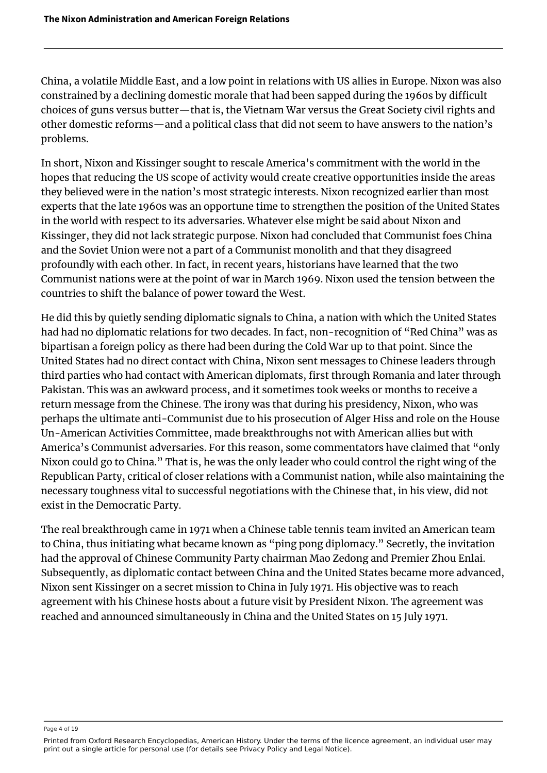China, a volatile Middle East, and a low point in relations with US allies in Europe. Nixon was also constrained by a declining domestic morale that had been sapped during the 1960s by difficult choices of guns versus butter—that is, the Vietnam War versus the Great Society civil rights and other domestic reforms—and a political class that did not seem to have answers to the nation's problems.

In short, Nixon and Kissinger sought to rescale America's commitment with the world in the hopes that reducing the US scope of activity would create creative opportunities inside the areas they believed were in the nation's most strategic interests. Nixon recognized earlier than most experts that the late 1960s was an opportune time to strengthen the position of the United States in the world with respect to its adversaries. Whatever else might be said about Nixon and Kissinger, they did not lack strategic purpose. Nixon had concluded that Communist foes China and the Soviet Union were not a part of a Communist monolith and that they disagreed profoundly with each other. In fact, in recent years, historians have learned that the two Communist nations were at the point of war in March 1969. Nixon used the tension between the countries to shift the balance of power toward the West.

He did this by quietly sending diplomatic signals to China, a nation with which the United States had had no diplomatic relations for two decades. In fact, non-recognition of "Red China" was as bipartisan a foreign policy as there had been during the Cold War up to that point. Since the United States had no direct contact with China, Nixon sent messages to Chinese leaders through third parties who had contact with American diplomats, first through Romania and later through Pakistan. This was an awkward process, and it sometimes took weeks or months to receive a return message from the Chinese. The irony was that during his presidency, Nixon, who was perhaps the ultimate anti-Communist due to his prosecution of Alger Hiss and role on the House Un-American Activities Committee, made breakthroughs not with American allies but with America's Communist adversaries. For this reason, some commentators have claimed that "only Nixon could go to China." That is, he was the only leader who could control the right wing of the Republican Party, critical of closer relations with a Communist nation, while also maintaining the necessary toughness vital to successful negotiations with the Chinese that, in his view, did not exist in the Democratic Party.

The real breakthrough came in 1971 when a Chinese table tennis team invited an American team to China, thus initiating what became known as "ping pong diplomacy." Secretly, the invitation had the approval of Chinese Community Party chairman Mao Zedong and Premier Zhou Enlai. Subsequently, as diplomatic contact between China and the United States became more advanced, Nixon sent Kissinger on a secret mission to China in July 1971. His objective was to reach agreement with his Chinese hosts about a future visit by President Nixon. The agreement was reached and announced simultaneously in China and the United States on 15 July 1971.

Page 4 of 19

Printed from Oxford Research Encyclopedias, American History. Under the terms of the licence agreement, an individual user may print out a single article for personal use (for details see Privacy Policy and Legal Notice).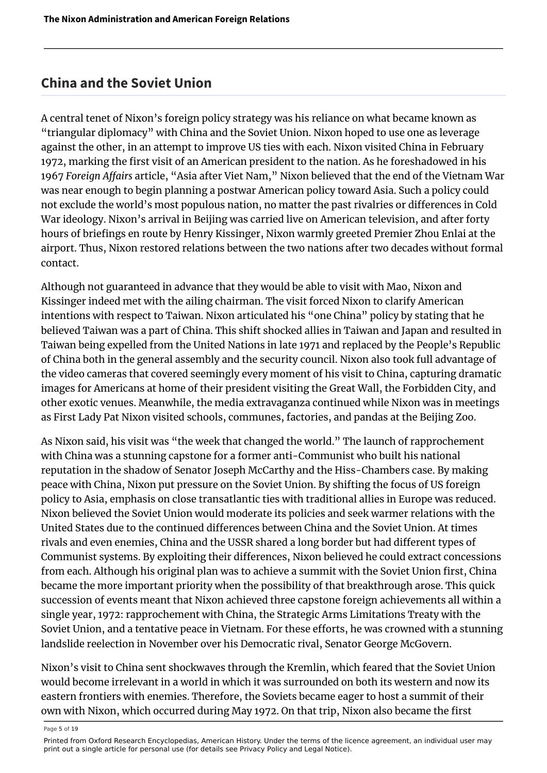#### **China and the Soviet Union**

A central tenet of Nixon's foreign policy strategy was his reliance on what became known as "triangular diplomacy" with China and the Soviet Union. Nixon hoped to use one as leverage against the other, in an attempt to improve US ties with each. Nixon visited China in February 1972, marking the first visit of an American president to the nation. As he foreshadowed in his 1967 *Foreign Affairs* article, "Asia after Viet Nam," Nixon believed that the end of the Vietnam War was near enough to begin planning a postwar American policy toward Asia. Such a policy could not exclude the world's most populous nation, no matter the past rivalries or differences in Cold War ideology. Nixon's arrival in Beijing was carried live on American television, and after forty hours of briefings en route by Henry Kissinger, Nixon warmly greeted Premier Zhou Enlai at the airport. Thus, Nixon restored relations between the two nations after two decades without formal contact.

Although not guaranteed in advance that they would be able to visit with Mao, Nixon and Kissinger indeed met with the ailing chairman. The visit forced Nixon to clarify American intentions with respect to Taiwan. Nixon articulated his "one China" policy by stating that he believed Taiwan was a part of China. This shift shocked allies in Taiwan and Japan and resulted in Taiwan being expelled from the United Nations in late 1971 and replaced by the People's Republic of China both in the general assembly and the security council. Nixon also took full advantage of the video cameras that covered seemingly every moment of his visit to China, capturing dramatic images for Americans at home of their president visiting the Great Wall, the Forbidden City, and other exotic venues. Meanwhile, the media extravaganza continued while Nixon was in meetings as First Lady Pat Nixon visited schools, communes, factories, and pandas at the Beijing Zoo.

As Nixon said, his visit was "the week that changed the world." The launch of rapprochement with China was a stunning capstone for a former anti-Communist who built his national reputation in the shadow of Senator Joseph McCarthy and the Hiss-Chambers case. By making peace with China, Nixon put pressure on the Soviet Union. By shifting the focus of US foreign policy to Asia, emphasis on close transatlantic ties with traditional allies in Europe was reduced. Nixon believed the Soviet Union would moderate its policies and seek warmer relations with the United States due to the continued differences between China and the Soviet Union. At times rivals and even enemies, China and the USSR shared a long border but had different types of Communist systems. By exploiting their differences, Nixon believed he could extract concessions from each. Although his original plan was to achieve a summit with the Soviet Union first, China became the more important priority when the possibility of that breakthrough arose. This quick succession of events meant that Nixon achieved three capstone foreign achievements all within a single year, 1972: rapprochement with China, the Strategic Arms Limitations Treaty with the Soviet Union, and a tentative peace in Vietnam. For these efforts, he was crowned with a stunning landslide reelection in November over his Democratic rival, Senator George McGovern.

Nixon's visit to China sent shockwaves through the Kremlin, which feared that the Soviet Union would become irrelevant in a world in which it was surrounded on both its western and now its eastern frontiers with enemies. Therefore, the Soviets became eager to host a summit of their own with Nixon, which occurred during May 1972. On that trip, Nixon also became the first

Page 5 of 19

Printed from Oxford Research Encyclopedias, American History. Under the terms of the licence agreement, an individual user may print out a single article for personal use (for details see Privacy Policy and Legal Notice).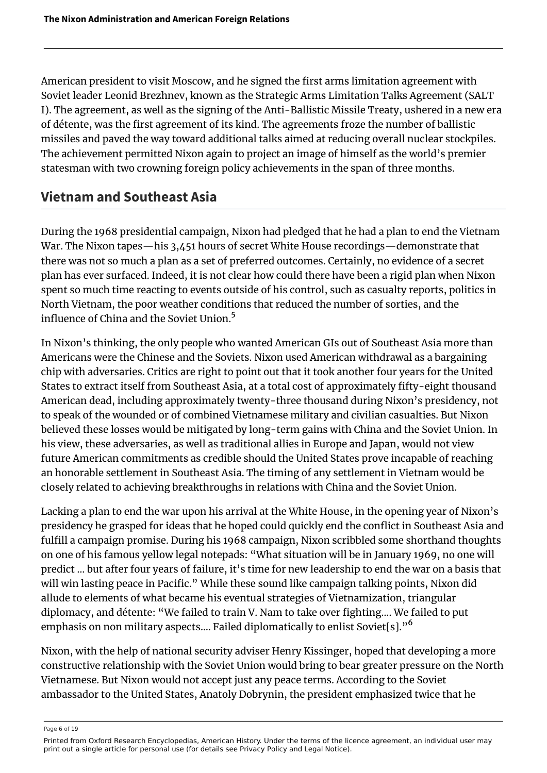American president to visit Moscow, and he signed the first arms limitation agreement with Soviet leader Leonid Brezhnev, known as the Strategic Arms Limitation Talks Agreement (SALT I). The agreement, as well as the signing of the Anti-Ballistic Missile Treaty, ushered in a new era of détente, was the first agreement of its kind. The agreements froze the number of ballistic missiles and paved the way toward additional talks aimed at reducing overall nuclear stockpiles. The achievement permitted Nixon again to project an image of himself as the world's premier statesman with two crowning foreign policy achievements in the span of three months.

### **Vietnam and Southeast Asia**

During the 1968 presidential campaign, Nixon had pledged that he had a plan to end the Vietnam War. The Nixon tapes—his 3,451 hours of secret White House recordings—demonstrate that there was not so much a plan as a set of preferred outcomes. Certainly, no evidence of a secret plan has ever surfaced. Indeed, it is not clear how could there have been a rigid plan when Nixon spent so much time reacting to events outside of his control, such as casualty reports, politics in North Vietnam, the poor weather conditions that reduced the number of sorties, and the influence of China and the Soviet Union.<sup>[5](#page-17-3)</sup>

<span id="page-6-0"></span>In Nixon's thinking, the only people who wanted American GIs out of Southeast Asia more than Americans were the Chinese and the Soviets. Nixon used American withdrawal as a bargaining chip with adversaries. Critics are right to point out that it took another four years for the United States to extract itself from Southeast Asia, at a total cost of approximately fifty-eight thousand American dead, including approximately twenty-three thousand during Nixon's presidency, not to speak of the wounded or of combined Vietnamese military and civilian casualties. But Nixon believed these losses would be mitigated by long-term gains with China and the Soviet Union. In his view, these adversaries, as well as traditional allies in Europe and Japan, would not view future American commitments as credible should the United States prove incapable of reaching an honorable settlement in Southeast Asia. The timing of any settlement in Vietnam would be closely related to achieving breakthroughs in relations with China and the Soviet Union.

Lacking a plan to end the war upon his arrival at the White House, in the opening year of Nixon's presidency he grasped for ideas that he hoped could quickly end the conflict in Southeast Asia and fulfill a campaign promise. During his 1968 campaign, Nixon scribbled some shorthand thoughts on one of his famous yellow legal notepads: "What situation will be in January 1969, no one will predict … but after four years of failure, it's time for new leadership to end the war on a basis that will win lasting peace in Pacific." While these sound like campaign talking points, Nixon did allude to elements of what became his eventual strategies of Vietnamization, triangular diplomacy, and détente: "We failed to train V. Nam to take over fighting…. We failed to put emphasis on non military aspects.... Failed diplomatically to enlist Soviet[s]."<sup>[6](#page-17-4)</sup>

<span id="page-6-1"></span>Nixon, with the help of national security adviser Henry Kissinger, hoped that developing a more constructive relationship with the Soviet Union would bring to bear greater pressure on the North Vietnamese. But Nixon would not accept just any peace terms. According to the Soviet ambassador to the United States, Anatoly Dobrynin, the president emphasized twice that he

Page 6 of 19

Printed from Oxford Research Encyclopedias, American History. Under the terms of the licence agreement, an individual user may print out a single article for personal use (for details see Privacy Policy and Legal Notice).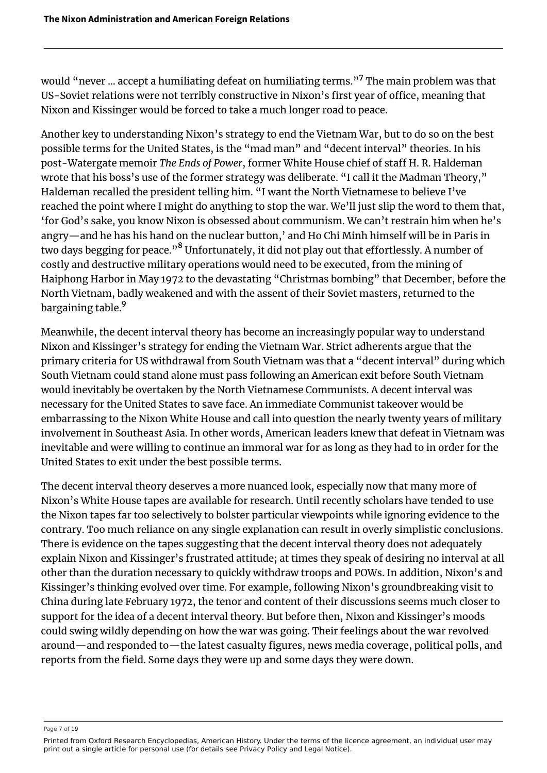<span id="page-7-0"></span>would "never ... accept a humiliating defeat on humiliating terms."<sup>[7](#page-17-5)</sup> The main problem was that US-Soviet relations were not terribly constructive in Nixon's first year of office, meaning that Nixon and Kissinger would be forced to take a much longer road to peace.

Another key to understanding Nixon's strategy to end the Vietnam War, but to do so on the best possible terms for the United States, is the "mad man" and "decent interval" theories. In his post-Watergate memoir *The Ends of Power*, former White House chief of staff H. R. Haldeman wrote that his boss's use of the former strategy was deliberate. "I call it the Madman Theory," Haldeman recalled the president telling him. "I want the North Vietnamese to believe I've reached the point where I might do anything to stop the war. We'll just slip the word to them that, 'for God's sake, you know Nixon is obsessed about communism. We can't restrain him when he's angry—and he has his hand on the nuclear button,' and Ho Chi Minh himself will be in Paris in two days begging for peace."<sup>[8](#page-17-6)</sup> Unfortunately, it did not play out that effortlessly. A number of costly and destructive military operations would need to be executed, from the mining of Haiphong Harbor in May 1972 to the devastating "Christmas bombing" that December, before the North Vietnam, badly weakened and with the assent of their Soviet masters, returned to the bargaining table.<sup>[9](#page-17-7)</sup>

<span id="page-7-2"></span><span id="page-7-1"></span>Meanwhile, the decent interval theory has become an increasingly popular way to understand Nixon and Kissinger's strategy for ending the Vietnam War. Strict adherents argue that the primary criteria for US withdrawal from South Vietnam was that a "decent interval" during which South Vietnam could stand alone must pass following an American exit before South Vietnam would inevitably be overtaken by the North Vietnamese Communists. A decent interval was necessary for the United States to save face. An immediate Communist takeover would be embarrassing to the Nixon White House and call into question the nearly twenty years of military involvement in Southeast Asia. In other words, American leaders knew that defeat in Vietnam was inevitable and were willing to continue an immoral war for as long as they had to in order for the United States to exit under the best possible terms.

The decent interval theory deserves a more nuanced look, especially now that many more of Nixon's White House tapes are available for research. Until recently scholars have tended to use the Nixon tapes far too selectively to bolster particular viewpoints while ignoring evidence to the contrary. Too much reliance on any single explanation can result in overly simplistic conclusions. There is evidence on the tapes suggesting that the decent interval theory does not adequately explain Nixon and Kissinger's frustrated attitude; at times they speak of desiring no interval at all other than the duration necessary to quickly withdraw troops and POWs. In addition, Nixon's and Kissinger's thinking evolved over time. For example, following Nixon's groundbreaking visit to China during late February 1972, the tenor and content of their discussions seems much closer to support for the idea of a decent interval theory. But before then, Nixon and Kissinger's moods could swing wildly depending on how the war was going. Their feelings about the war revolved around—and responded to—the latest casualty figures, news media coverage, political polls, and reports from the field. Some days they were up and some days they were down.

Page 7 of 19

Printed from Oxford Research Encyclopedias, American History. Under the terms of the licence agreement, an individual user may print out a single article for personal use (for details see Privacy Policy and Legal Notice).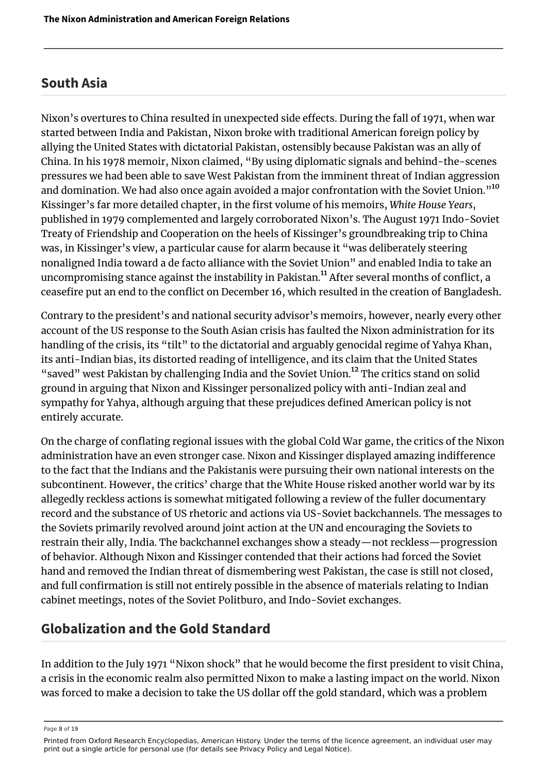#### **South Asia**

<span id="page-8-0"></span>Nixon's overtures to China resulted in unexpected side effects. During the fall of 1971, when war started between India and Pakistan, Nixon broke with traditional American foreign policy by allying the United States with dictatorial Pakistan, ostensibly because Pakistan was an ally of China. In his 1978 memoir, Nixon claimed, "By using diplomatic signals and behind-the-scenes pressures we had been able to save West Pakistan from the imminent threat of Indian aggression and domination. We had also once again avoided a major confrontation with the Soviet Union."<sup>[10](#page-17-8)</sup> Kissinger's far more detailed chapter, in the first volume of his memoirs, *White House Years*, published in 1979 complemented and largely corroborated Nixon's. The August 1971 Indo-Soviet Treaty of Friendship and Cooperation on the heels of Kissinger's groundbreaking trip to China was, in Kissinger's view, a particular cause for alarm because it "was deliberately steering nonaligned India toward a de facto alliance with the Soviet Union" and enabled India to take an uncompromising stance against the instability in Pakistan.<sup>[11](#page-17-9)</sup> After several months of conflict, a ceasefire put an end to the conflict on December 16, which resulted in the creation of Bangladesh.

<span id="page-8-2"></span><span id="page-8-1"></span>Contrary to the president's and national security advisor's memoirs, however, nearly every other account of the US response to the South Asian crisis has faulted the Nixon administration for its handling of the crisis, its "tilt" to the dictatorial and arguably genocidal regime of Yahya Khan, its anti-Indian bias, its distorted reading of intelligence, and its claim that the United States "saved" west Pakistan by challenging India and the Soviet Union.<sup>[12](#page-17-10)</sup> The critics stand on solid ground in arguing that Nixon and Kissinger personalized policy with anti-Indian zeal and sympathy for Yahya, although arguing that these prejudices defined American policy is not entirely accurate.

On the charge of conflating regional issues with the global Cold War game, the critics of the Nixon administration have an even stronger case. Nixon and Kissinger displayed amazing indifference to the fact that the Indians and the Pakistanis were pursuing their own national interests on the subcontinent. However, the critics' charge that the White House risked another world war by its allegedly reckless actions is somewhat mitigated following a review of the fuller documentary record and the substance of US rhetoric and actions via US-Soviet backchannels. The messages to the Soviets primarily revolved around joint action at the UN and encouraging the Soviets to restrain their ally, India. The backchannel exchanges show a steady—not reckless—progression of behavior. Although Nixon and Kissinger contended that their actions had forced the Soviet hand and removed the Indian threat of dismembering west Pakistan, the case is still not closed, and full confirmation is still not entirely possible in the absence of materials relating to Indian cabinet meetings, notes of the Soviet Politburo, and Indo-Soviet exchanges.

#### **Globalization and the Gold Standard**

In addition to the July 1971 "Nixon shock" that he would become the first president to visit China, a crisis in the economic realm also permitted Nixon to make a lasting impact on the world. Nixon was forced to make a decision to take the US dollar off the gold standard, which was a problem

Page 8 of 19

Printed from Oxford Research Encyclopedias, American History. Under the terms of the licence agreement, an individual user may print out a single article for personal use (for details see Privacy Policy and Legal Notice).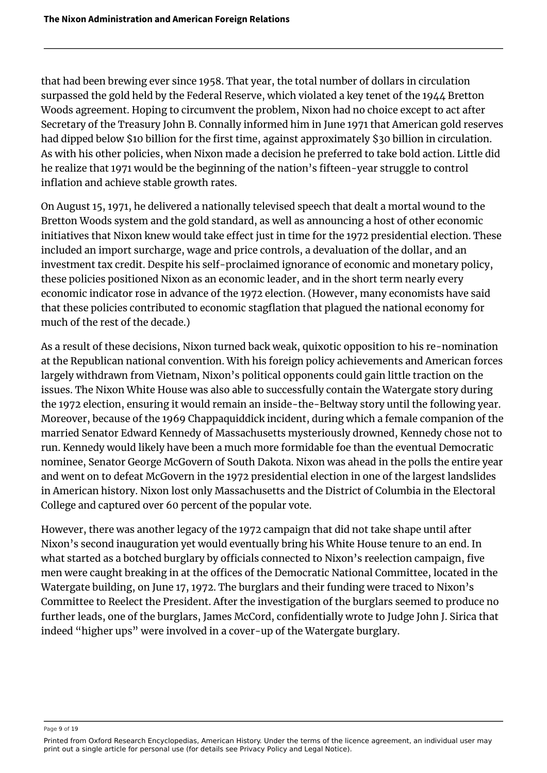that had been brewing ever since 1958. That year, the total number of dollars in circulation surpassed the gold held by the Federal Reserve, which violated a key tenet of the 1944 Bretton Woods agreement. Hoping to circumvent the problem, Nixon had no choice except to act after Secretary of the Treasury John B. Connally informed him in June 1971 that American gold reserves had dipped below \$10 billion for the first time, against approximately \$30 billion in circulation. As with his other policies, when Nixon made a decision he preferred to take bold action. Little did he realize that 1971 would be the beginning of the nation's fifteen-year struggle to control inflation and achieve stable growth rates.

On August 15, 1971, he delivered a nationally televised speech that dealt a mortal wound to the Bretton Woods system and the gold standard, as well as announcing a host of other economic initiatives that Nixon knew would take effect just in time for the 1972 presidential election. These included an import surcharge, wage and price controls, a devaluation of the dollar, and an investment tax credit. Despite his self-proclaimed ignorance of economic and monetary policy, these policies positioned Nixon as an economic leader, and in the short term nearly every economic indicator rose in advance of the 1972 election. (However, many economists have said that these policies contributed to economic stagflation that plagued the national economy for much of the rest of the decade.)

As a result of these decisions, Nixon turned back weak, quixotic opposition to his re-nomination at the Republican national convention. With his foreign policy achievements and American forces largely withdrawn from Vietnam, Nixon's political opponents could gain little traction on the issues. The Nixon White House was also able to successfully contain the Watergate story during the 1972 election, ensuring it would remain an inside-the-Beltway story until the following year. Moreover, because of the 1969 Chappaquiddick incident, during which a female companion of the married Senator Edward Kennedy of Massachusetts mysteriously drowned, Kennedy chose not to run. Kennedy would likely have been a much more formidable foe than the eventual Democratic nominee, Senator George McGovern of South Dakota. Nixon was ahead in the polls the entire year and went on to defeat McGovern in the 1972 presidential election in one of the largest landslides in American history. Nixon lost only Massachusetts and the District of Columbia in the Electoral College and captured over 60 percent of the popular vote.

However, there was another legacy of the 1972 campaign that did not take shape until after Nixon's second inauguration yet would eventually bring his White House tenure to an end. In what started as a botched burglary by officials connected to Nixon's reelection campaign, five men were caught breaking in at the offices of the Democratic National Committee, located in the Watergate building, on June 17, 1972. The burglars and their funding were traced to Nixon's Committee to Reelect the President. After the investigation of the burglars seemed to produce no further leads, one of the burglars, James McCord, confidentially wrote to Judge John J. Sirica that indeed "higher ups" were involved in a cover-up of the Watergate burglary.

Page 9 of 19

Printed from Oxford Research Encyclopedias, American History. Under the terms of the licence agreement, an individual user may print out a single article for personal use (for details see Privacy Policy and Legal Notice).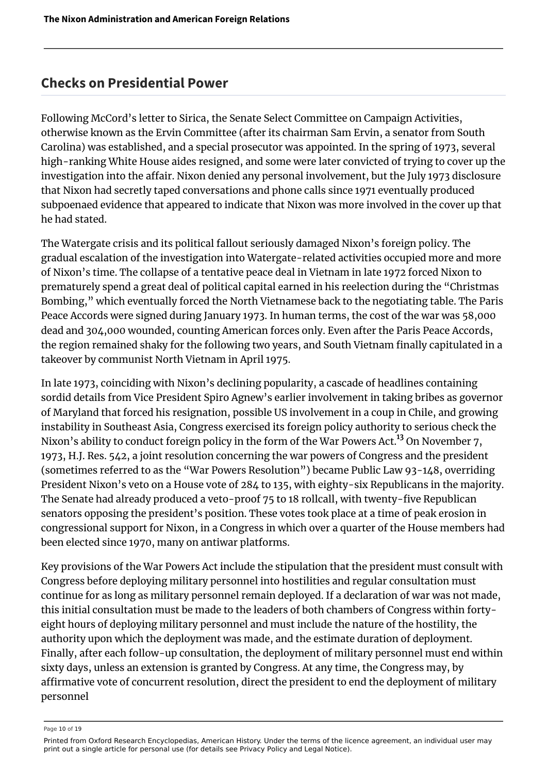#### **Checks on Presidential Power**

Following McCord's letter to Sirica, the Senate Select Committee on Campaign Activities, otherwise known as the Ervin Committee (after its chairman Sam Ervin, a senator from South Carolina) was established, and a special prosecutor was appointed. In the spring of 1973, several high-ranking White House aides resigned, and some were later convicted of trying to cover up the investigation into the affair. Nixon denied any personal involvement, but the July 1973 disclosure that Nixon had secretly taped conversations and phone calls since 1971 eventually produced subpoenaed evidence that appeared to indicate that Nixon was more involved in the cover up that he had stated.

The Watergate crisis and its political fallout seriously damaged Nixon's foreign policy. The gradual escalation of the investigation into Watergate-related activities occupied more and more of Nixon's time. The collapse of a tentative peace deal in Vietnam in late 1972 forced Nixon to prematurely spend a great deal of political capital earned in his reelection during the "Christmas Bombing," which eventually forced the North Vietnamese back to the negotiating table. The Paris Peace Accords were signed during January 1973. In human terms, the cost of the war was 58,000 dead and 304,000 wounded, counting American forces only. Even after the Paris Peace Accords, the region remained shaky for the following two years, and South Vietnam finally capitulated in a takeover by communist North Vietnam in April 1975.

<span id="page-10-0"></span>In late 1973, coinciding with Nixon's declining popularity, a cascade of headlines containing sordid details from Vice President Spiro Agnew's earlier involvement in taking bribes as governor of Maryland that forced his resignation, possible US involvement in a coup in Chile, and growing instability in Southeast Asia, Congress exercised its foreign policy authority to serious check the Nixon's ability to conduct foreign policy in the form of the War Powers Act.<sup>[13](#page-17-11)</sup> On November 7, 1973, H.J. Res. 542, a joint resolution concerning the war powers of Congress and the president (sometimes referred to as the "War Powers Resolution") became Public Law 93-148, overriding President Nixon's veto on a House vote of 284 to 135, with eighty-six Republicans in the majority. The Senate had already produced a veto-proof 75 to 18 rollcall, with twenty-five Republican senators opposing the president's position. These votes took place at a time of peak erosion in congressional support for Nixon, in a Congress in which over a quarter of the House members had been elected since 1970, many on antiwar platforms.

Key provisions of the War Powers Act include the stipulation that the president must consult with Congress before deploying military personnel into hostilities and regular consultation must continue for as long as military personnel remain deployed. If a declaration of war was not made, this initial consultation must be made to the leaders of both chambers of Congress within fortyeight hours of deploying military personnel and must include the nature of the hostility, the authority upon which the deployment was made, and the estimate duration of deployment. Finally, after each follow-up consultation, the deployment of military personnel must end within sixty days, unless an extension is granted by Congress. At any time, the Congress may, by affirmative vote of concurrent resolution, direct the president to end the deployment of military personnel

Page 10 of 19

Printed from Oxford Research Encyclopedias, American History. Under the terms of the licence agreement, an individual user may print out a single article for personal use (for details see Privacy Policy and Legal Notice).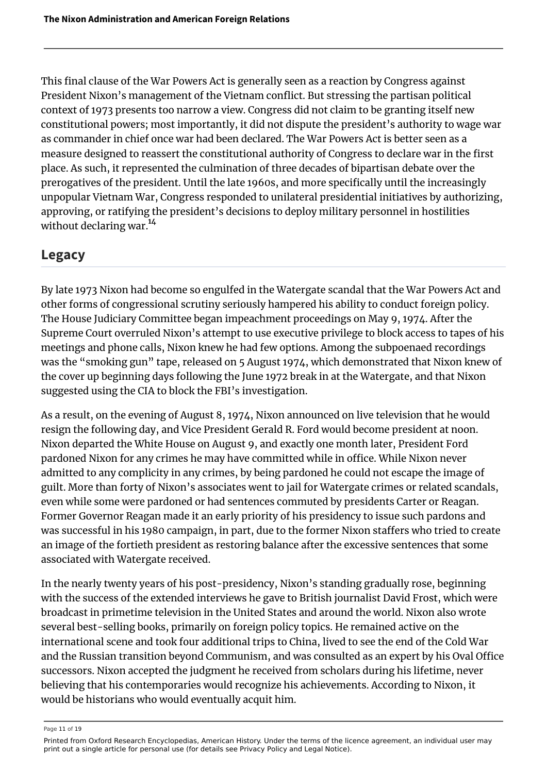This final clause of the War Powers Act is generally seen as a reaction by Congress against President Nixon's management of the Vietnam conflict. But stressing the partisan political context of 1973 presents too narrow a view. Congress did not claim to be granting itself new constitutional powers; most importantly, it did not dispute the president's authority to wage war as commander in chief once war had been declared. The War Powers Act is better seen as a measure designed to reassert the constitutional authority of Congress to declare war in the first place. As such, it represented the culmination of three decades of bipartisan debate over the prerogatives of the president. Until the late 1960s, and more specifically until the increasingly unpopular Vietnam War, Congress responded to unilateral presidential initiatives by authorizing, approving, or ratifying the president's decisions to deploy military personnel in hostilities without declaring war.<sup>[14](#page-18-0)</sup>

#### <span id="page-11-0"></span>**Legacy**

By late 1973 Nixon had become so engulfed in the Watergate scandal that the War Powers Act and other forms of congressional scrutiny seriously hampered his ability to conduct foreign policy. The House Judiciary Committee began impeachment proceedings on May 9, 1974. After the Supreme Court overruled Nixon's attempt to use executive privilege to block access to tapes of his meetings and phone calls, Nixon knew he had few options. Among the subpoenaed recordings was the "smoking gun" tape, released on 5 August 1974, which demonstrated that Nixon knew of the cover up beginning days following the June 1972 break in at the Watergate, and that Nixon suggested using the CIA to block the FBI's investigation.

As a result, on the evening of August 8, 1974, Nixon announced on live television that he would resign the following day, and Vice President Gerald R. Ford would become president at noon. Nixon departed the White House on August 9, and exactly one month later, President Ford pardoned Nixon for any crimes he may have committed while in office. While Nixon never admitted to any complicity in any crimes, by being pardoned he could not escape the image of guilt. More than forty of Nixon's associates went to jail for Watergate crimes or related scandals, even while some were pardoned or had sentences commuted by presidents Carter or Reagan. Former Governor Reagan made it an early priority of his presidency to issue such pardons and was successful in his 1980 campaign, in part, due to the former Nixon staffers who tried to create an image of the fortieth president as restoring balance after the excessive sentences that some associated with Watergate received.

In the nearly twenty years of his post-presidency, Nixon's standing gradually rose, beginning with the success of the extended interviews he gave to British journalist David Frost, which were broadcast in primetime television in the United States and around the world. Nixon also wrote several best-selling books, primarily on foreign policy topics. He remained active on the international scene and took four additional trips to China, lived to see the end of the Cold War and the Russian transition beyond Communism, and was consulted as an expert by his Oval Office successors. Nixon accepted the judgment he received from scholars during his lifetime, never believing that his contemporaries would recognize his achievements. According to Nixon, it would be historians who would eventually acquit him.

Page 11 of 19

Printed from Oxford Research Encyclopedias, American History. Under the terms of the licence agreement, an individual user may print out a single article for personal use (for details see Privacy Policy and Legal Notice).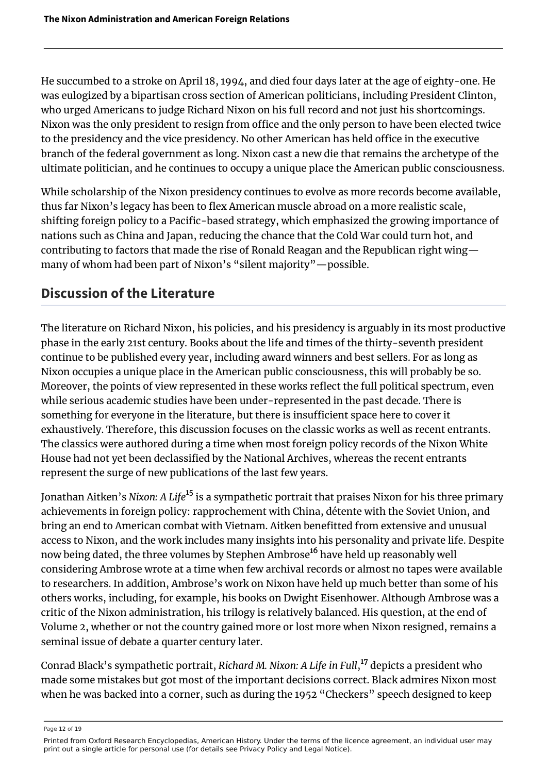He succumbed to a stroke on April 18, 1994, and died four days later at the age of eighty-one. He was eulogized by a bipartisan cross section of American politicians, including President Clinton, who urged Americans to judge Richard Nixon on his full record and not just his shortcomings. Nixon was the only president to resign from office and the only person to have been elected twice to the presidency and the vice presidency. No other American has held office in the executive branch of the federal government as long. Nixon cast a new die that remains the archetype of the ultimate politician, and he continues to occupy a unique place the American public consciousness.

While scholarship of the Nixon presidency continues to evolve as more records become available, thus far Nixon's legacy has been to flex American muscle abroad on a more realistic scale, shifting foreign policy to a Pacific-based strategy, which emphasized the growing importance of nations such as China and Japan, reducing the chance that the Cold War could turn hot, and contributing to factors that made the rise of Ronald Reagan and the Republican right wing many of whom had been part of Nixon's "silent majority"—possible.

## **Discussion of the Literature**

The literature on Richard Nixon, his policies, and his presidency is arguably in its most productive phase in the early 21st century. Books about the life and times of the thirty-seventh president continue to be published every year, including award winners and best sellers. For as long as Nixon occupies a unique place in the American public consciousness, this will probably be so. Moreover, the points of view represented in these works reflect the full political spectrum, even while serious academic studies have been under-represented in the past decade. There is something for everyone in the literature, but there is insufficient space here to cover it exhaustively. Therefore, this discussion focuses on the classic works as well as recent entrants. The classics were authored during a time when most foreign policy records of the Nixon White House had not yet been declassified by the National Archives, whereas the recent entrants represent the surge of new publications of the last few years.

<span id="page-12-1"></span><span id="page-12-0"></span>Jonathan Aitken's *Nixon: A Life*[15](#page-18-1) is a sympathetic portrait that praises Nixon for his three primary achievements in foreign policy: rapprochement with China, détente with the Soviet Union, and bring an end to American combat with Vietnam. Aitken benefitted from extensive and unusual access to Nixon, and the work includes many insights into his personality and private life. Despite now being dated, the three volumes by Stephen Ambrose<sup>[16](#page-18-2)</sup> have held up reasonably well considering Ambrose wrote at a time when few archival records or almost no tapes were available to researchers. In addition, Ambrose's work on Nixon have held up much better than some of his others works, including, for example, his books on Dwight Eisenhower. Although Ambrose was a critic of the Nixon administration, his trilogy is relatively balanced. His question, at the end of Volume 2, whether or not the country gained more or lost more when Nixon resigned, remains a seminal issue of debate a quarter century later.

<span id="page-12-2"></span>Conrad Black's sympathetic portrait, *Richard M. Nixon: A Life in Full*, [17](#page-18-3) depicts a president who made some mistakes but got most of the important decisions correct. Black admires Nixon most when he was backed into a corner, such as during the 1952 "Checkers" speech designed to keep

Page 12 of 19

Printed from Oxford Research Encyclopedias, American History. Under the terms of the licence agreement, an individual user may print out a single article for personal use (for details see Privacy Policy and Legal Notice).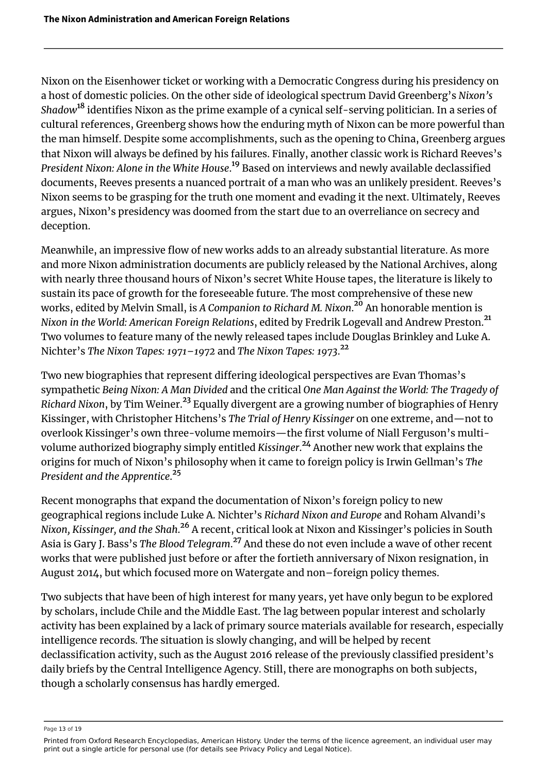<span id="page-13-0"></span>Nixon on the Eisenhower ticket or working with a Democratic Congress during his presidency on a host of domestic policies. On the other side of ideological spectrum David Greenberg's *Nixon's Shadow*[18](#page-18-4) identifies Nixon as the prime example of a cynical self-serving politician. In a series of cultural references, Greenberg shows how the enduring myth of Nixon can be more powerful than the man himself. Despite some accomplishments, such as the opening to China, Greenberg argues that Nixon will always be defined by his failures. Finally, another classic work is Richard Reeves's *President Nixon: Alone in the White House*. [19](#page-18-5) Based on interviews and newly available declassified documents, Reeves presents a nuanced portrait of a man who was an unlikely president. Reeves's Nixon seems to be grasping for the truth one moment and evading it the next. Ultimately, Reeves argues, Nixon's presidency was doomed from the start due to an overreliance on secrecy and deception.

<span id="page-13-2"></span><span id="page-13-1"></span>Meanwhile, an impressive flow of new works adds to an already substantial literature. As more and more Nixon administration documents are publicly released by the National Archives, along with nearly three thousand hours of Nixon's secret White House tapes, the literature is likely to sustain its pace of growth for the foreseeable future. The most comprehensive of these new works, edited by Melvin Small, is *A Companion to Richard M. Nixon*. [20](#page-18-6) An honorable mention is *Nixon in the World: American Foreign Relations*, edited by Fredrik Logevall and Andrew Preston.[21](#page-18-7) Two volumes to feature many of the newly released tapes include Douglas Brinkley and Luke A. Nichter's *The Nixon Tapes: 1971–1972* and *The Nixon Tapes: 1973*. [22](#page-18-8)

<span id="page-13-5"></span><span id="page-13-4"></span><span id="page-13-3"></span>Two new biographies that represent differing ideological perspectives are Evan Thomas's sympathetic *Being Nixon: A Man Divided* and the critical *One Man Against the World: The Tragedy of Richard Nixon*, by Tim Weiner.[23](#page-18-9) Equally divergent are a growing number of biographies of Henry Kissinger, with Christopher Hitchens's *The Trial of Henry Kissinger* on one extreme, and—not to overlook Kissinger's own three-volume memoirs—the first volume of Niall Ferguson's multivolume authorized biography simply entitled *Kissinger*. [24](#page-18-10) Another new work that explains the origins for much of Nixon's philosophy when it came to foreign policy is Irwin Gellman's *The President and the Apprentice*. [25](#page-18-11)

<span id="page-13-9"></span><span id="page-13-8"></span><span id="page-13-7"></span><span id="page-13-6"></span>Recent monographs that expand the documentation of Nixon's foreign policy to new geographical regions include Luke A. Nichter's *Richard Nixon and Europe* and Roham Alvandi's *Nixon, Kissinger, and the Shah*. [26](#page-18-12) A recent, critical look at Nixon and Kissinger's policies in South Asia is Gary J. Bass's *The Blood Telegram*. [27](#page-18-13) And these do not even include a wave of other recent works that were published just before or after the fortieth anniversary of Nixon resignation, in August 2014, but which focused more on Watergate and non–foreign policy themes.

Two subjects that have been of high interest for many years, yet have only begun to be explored by scholars, include Chile and the Middle East. The lag between popular interest and scholarly activity has been explained by a lack of primary source materials available for research, especially intelligence records. The situation is slowly changing, and will be helped by recent declassification activity, such as the August 2016 release of the previously classified president's daily briefs by the Central Intelligence Agency. Still, there are monographs on both subjects, though a scholarly consensus has hardly emerged.

Page 13 of 19

Printed from Oxford Research Encyclopedias, American History. Under the terms of the licence agreement, an individual user may print out a single article for personal use (for details see Privacy Policy and Legal Notice).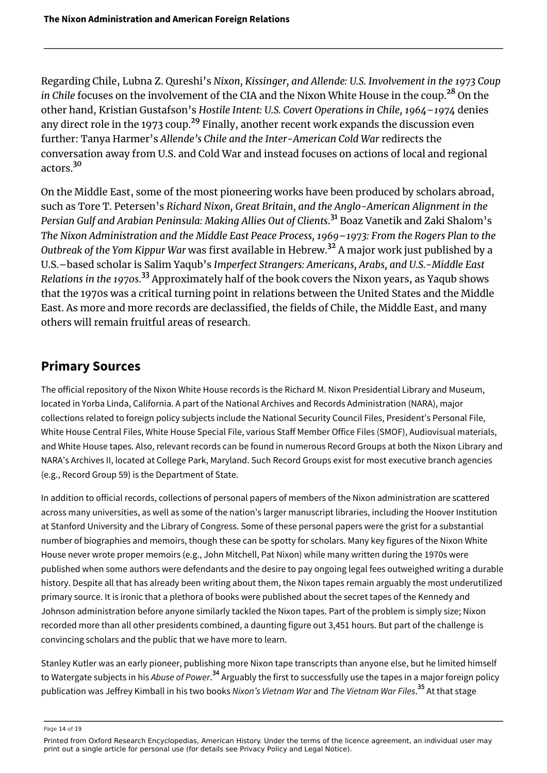<span id="page-14-1"></span><span id="page-14-0"></span>Regarding Chile, Lubna Z. Qureshi's *Nixon, Kissinger, and Allende: U.S. Involvement in the 1973 Coup in Chile* focuses on the involvement of the CIA and the Nixon White House in the coup.[28](#page-18-14) On the other hand, Kristian Gustafson's *Hostile Intent: U.S. Covert Operations in Chile, 1964–1974* denies any direct role in the 1973 coup. $^{29}$  $^{29}$  $^{29}$  Finally, another recent work expands the discussion even further: Tanya Harmer's *Allende's Chile and the Inter-American Cold War* redirects the conversation away from U.S. and Cold War and instead focuses on actions of local and regional actors<sup>[30](#page-18-16)</sup>

<span id="page-14-4"></span><span id="page-14-3"></span><span id="page-14-2"></span>On the Middle East, some of the most pioneering works have been produced by scholars abroad, such as Tore T. Petersen's *Richard Nixon, Great Britain, and the Anglo-American Alignment in the Persian Gulf and Arabian Peninsula: Making Allies Out of Clients*. [31](#page-18-17) Boaz Vanetik and Zaki Shalom's *The Nixon Administration and the Middle East Peace Process, 1969–1973: From the Rogers Plan to the Outbreak of the Yom Kippur War* was first available in Hebrew.[32](#page-18-18) A major work just published by a U.S.–based scholar is Salim Yaqub's *Imperfect Strangers: Americans, Arabs, and U.S.-Middle East Relations in the 1970s*. [33](#page-18-19) Approximately half of the book covers the Nixon years, as Yaqub shows that the 1970s was a critical turning point in relations between the United States and the Middle East. As more and more records are declassified, the fields of Chile, the Middle East, and many others will remain fruitful areas of research.

#### <span id="page-14-5"></span>**Primary Sources**

The official repository of the Nixon White House records is the Richard M. Nixon Presidential Library and Museum, located in Yorba Linda, California. A part of the National Archives and Records Administration (NARA), major collections related to foreign policy subjects include the National Security Council Files, President's Personal File, White House Central Files, White House Special File, various Staff Member Office Files (SMOF), Audiovisual materials, and White House tapes. Also, relevant records can be found in numerous Record Groups at both the Nixon Library and NARA's Archives II, located at College Park, Maryland. Such Record Groups exist for most executive branch agencies (e.g., Record Group 59) is the Department of State.

In addition to official records, collections of personal papers of members of the Nixon administration are scattered across many universities, as well as some of the nation's larger manuscript libraries, including the Hoover Institution at Stanford University and the Library of Congress. Some of these personal papers were the grist for a substantial number of biographies and memoirs, though these can be spotty for scholars. Many key figures of the Nixon White House never wrote proper memoirs (e.g., John Mitchell, Pat Nixon) while many written during the 1970s were published when some authors were defendants and the desire to pay ongoing legal fees outweighed writing a durable history. Despite all that has already been writing about them, the Nixon tapes remain arguably the most underutilized primary source. It is ironic that a plethora of books were published about the secret tapes of the Kennedy and Johnson administration before anyone similarly tackled the Nixon tapes. Part of the problem is simply size; Nixon recorded more than all other presidents combined, a daunting figure out 3,451 hours. But part of the challenge is convincing scholars and the public that we have more to learn.

<span id="page-14-6"></span>Stanley Kutler was an early pioneer, publishing more Nixon tape transcripts than anyone else, but he limited himself to Watergate subjects in his *Abuse of Power.<sup>[34](#page-19-0)</sup> Arguably the first to successfully use the tapes in a major foreign policy* publication was Jeffrey Kimball in his two books *Nixon's Vietnam War* and *The Vietnam War Files*. [35](#page-19-1) At that stage

<span id="page-14-7"></span>Page 14 of 19

Printed from Oxford Research Encyclopedias, American History. Under the terms of the licence agreement, an individual user may print out a single article for personal use (for details see Privacy Policy and Legal Notice).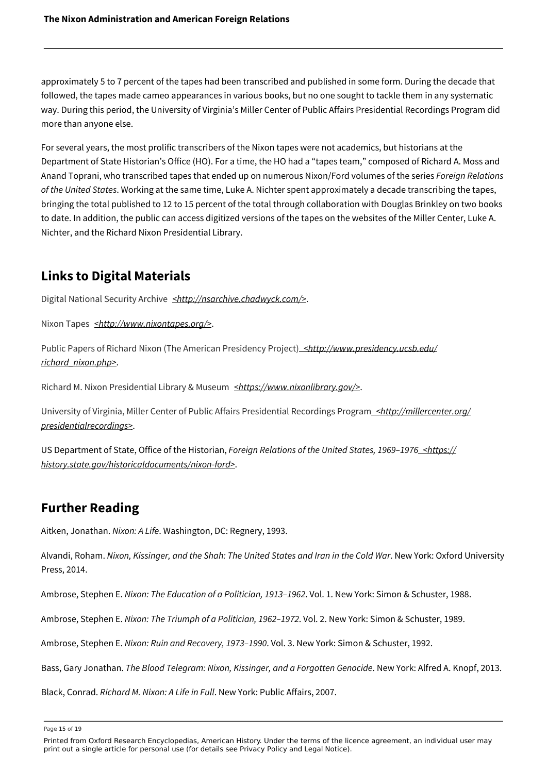approximately 5 to 7 percent of the tapes had been transcribed and published in some form. During the decade that followed, the tapes made cameo appearances in various books, but no one sought to tackle them in any systematic way. During this period, the University of Virginia's Miller Center of Public Affairs Presidential Recordings Program did more than anyone else.

For several years, the most prolific transcribers of the Nixon tapes were not academics, but historians at the Department of State Historian's Office (HO). For a time, the HO had a "tapes team," composed of Richard A. Moss and Anand Toprani, who transcribed tapes that ended up on numerous Nixon/Ford volumes of the series *Foreign Relations of the United States*. Working at the same time, Luke A. Nichter spent approximately a decade transcribing the tapes, bringing the total published to 12 to 15 percent of the total through collaboration with Douglas Brinkley on two books to date. In addition, the public can access digitized versions of the tapes on the websites of the Miller Center, Luke A. Nichter, and the Richard Nixon Presidential Library.

### **Links to Digital Materials**

[Digital National Security Archive](http://nsarchive.chadwyck.com/) *[<http://nsarchive.chadwyck.com/>](http://nsarchive.chadwyck.com/)*.

[Nixon Tapes](http://www.nixontapes.org/) **[<http://www.nixontapes.org/>](http://www.nixontapes.org/)**.

[Public Papers of Richard Nixon \(The American Presidency Project\)](http://www.presidency.ucsb.edu/richard_nixon.php) *[<http://www.presidency.ucsb.edu/](http://www.presidency.ucsb.edu/richard_nixon.php) [richard\\_nixon.php>](http://www.presidency.ucsb.edu/richard_nixon.php)*.

[Richard M. Nixon Presidential Library & Museum](https://www.nixonlibrary.gov/) *[<https://www.nixonlibrary.gov/>](https://www.nixonlibrary.gov/)*.

[University of Virginia, Miller Center of Public Affairs Presidential Recordings Program](http://millercenter.org/presidentialrecordings) *[<http://millercenter.org/](http://millercenter.org/presidentialrecordings) [presidentialrecordings>](http://millercenter.org/presidentialrecordings)*.

US Department of State, Office of the Historian, *[Foreign Relations of the United States, 1969–1976](https://history.state.gov/historicaldocuments/nixon-ford) [<https://](https://history.state.gov/historicaldocuments/nixon-ford) [history.state.gov/historicaldocuments/nixon-ford>](https://history.state.gov/historicaldocuments/nixon-ford)*.

#### **Further Reading**

Aitken, Jonathan. *Nixon: A Life*. Washington, DC: Regnery, 1993.

Alvandi, Roham. *Nixon, Kissinger, and the Shah: The United States and Iran in the Cold War*. New York: Oxford University Press, 2014.

Ambrose, Stephen E. *Nixon: The Education of a Politician, 1913–1962*. Vol. 1. New York: Simon & Schuster, 1988.

Ambrose, Stephen E. *Nixon: The Triumph of a Politician, 1962–1972*. Vol. 2. New York: Simon & Schuster, 1989.

Ambrose, Stephen E. *Nixon: Ruin and Recovery, 1973–1990*. Vol. 3. New York: Simon & Schuster, 1992.

Bass, Gary Jonathan. *The Blood Telegram: Nixon, Kissinger, and a Forgotten Genocide*. New York: Alfred A. Knopf, 2013.

Black, Conrad. *Richard M. Nixon: A Life in Full*. New York: Public Affairs, 2007.

Page 15 of 19

Printed from Oxford Research Encyclopedias, American History. Under the terms of the licence agreement, an individual user may print out a single article for personal use (for details see Privacy Policy and Legal Notice).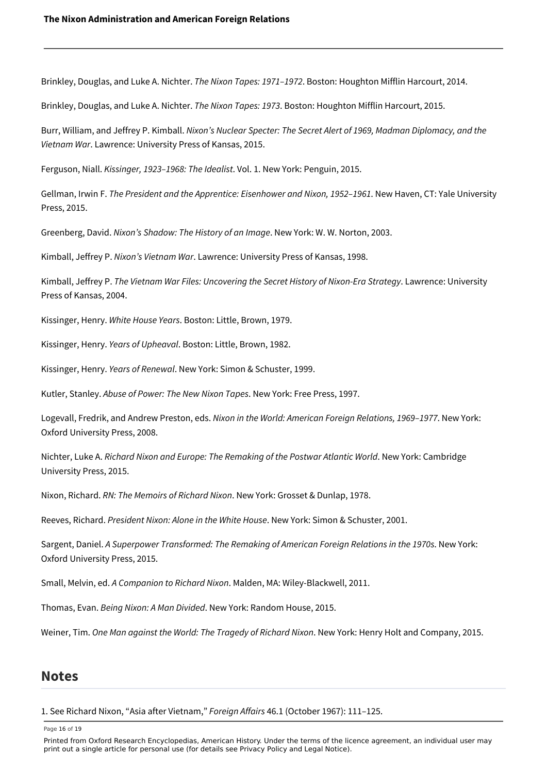Brinkley, Douglas, and Luke A. Nichter. *The Nixon Tapes: 1971–1972*. Boston: Houghton Mifflin Harcourt, 2014.

Brinkley, Douglas, and Luke A. Nichter. *The Nixon Tapes: 1973*. Boston: Houghton Mifflin Harcourt, 2015.

Burr, William, and Jeffrey P. Kimball. *Nixon's Nuclear Specter: The Secret Alert of 1969, Madman Diplomacy, and the Vietnam War*. Lawrence: University Press of Kansas, 2015.

Ferguson, Niall. *Kissinger, 1923–1968: The Idealist*. Vol. 1. New York: Penguin, 2015.

Gellman, Irwin F. *The President and the Apprentice: Eisenhower and Nixon, 1952–1961*. New Haven, CT: Yale University Press, 2015.

Greenberg, David. *Nixon's Shadow: The History of an Image*. New York: W. W. Norton, 2003.

Kimball, Jeffrey P. *Nixon's Vietnam War*. Lawrence: University Press of Kansas, 1998.

Kimball, Jeffrey P. *The Vietnam War Files: Uncovering the Secret History of Nixon-Era Strategy*. Lawrence: University Press of Kansas, 2004.

Kissinger, Henry. *White House Years*. Boston: Little, Brown, 1979.

Kissinger, Henry. *Years of Upheaval*. Boston: Little, Brown, 1982.

Kissinger, Henry. *Years of Renewal*. New York: Simon & Schuster, 1999.

Kutler, Stanley. *Abuse of Power: The New Nixon Tapes*. New York: Free Press, 1997.

Logevall, Fredrik, and Andrew Preston, eds. *Nixon in the World: American Foreign Relations, 1969–1977*. New York: Oxford University Press, 2008.

Nichter, Luke A. *Richard Nixon and Europe: The Remaking of the Postwar Atlantic World*. New York: Cambridge University Press, 2015.

Nixon, Richard. *RN: The Memoirs of Richard Nixon*. New York: Grosset & Dunlap, 1978.

Reeves, Richard. *President Nixon: Alone in the White House*. New York: Simon & Schuster, 2001.

Sargent, Daniel. *A Superpower Transformed: The Remaking of American Foreign Relations in the 1970s*. New York: Oxford University Press, 2015.

Small, Melvin, ed. *A Companion to Richard Nixon*. Malden, MA: Wiley-Blackwell, 2011.

Thomas, Evan. *Being Nixon: A Man Divided*. New York: Random House, 2015.

Weiner, Tim. *One Man against the World: The Tragedy of Richard Nixon*. New York: Henry Holt and Company, 2015.

#### **Notes**

<span id="page-16-0"></span>[1.](#page-2-0) See Richard Nixon, "Asia after Vietnam," *Foreign Affairs* 46.1 (October 1967): 111–125.

Page 16 of 19

Printed from Oxford Research Encyclopedias, American History. Under the terms of the licence agreement, an individual user may print out a single article for personal use (for details see Privacy Policy and Legal Notice).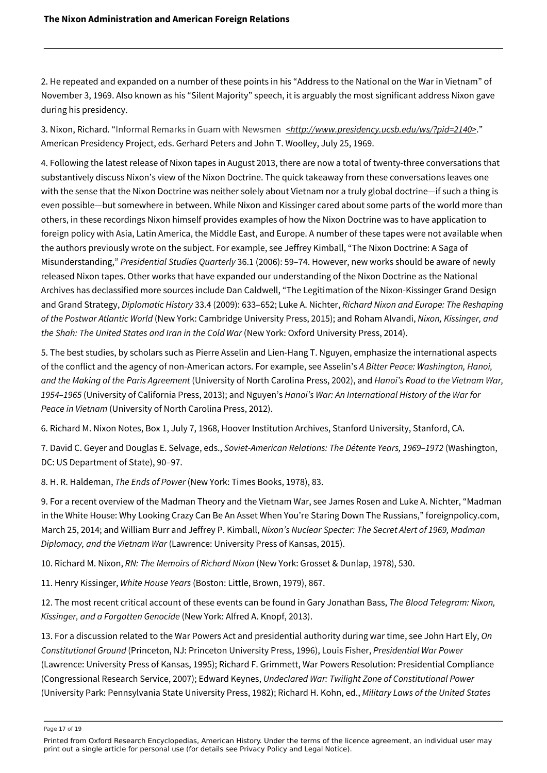<span id="page-17-0"></span>[2.](#page-2-1) He repeated and expanded on a number of these points in his "Address to the National on the War in Vietnam" of November 3, 1969. Also known as his "Silent Majority" speech, it is arguably the most significant address Nixon gave during his presidency.

<span id="page-17-1"></span>[3.](#page-2-2) Nixon, Richard. "[Informal Remarks in Guam with Newsmen](http://www.presidency.ucsb.edu/ws/?pid=2140) *[<http://www.presidency.ucsb.edu/ws/?pid=2140>](http://www.presidency.ucsb.edu/ws/?pid=2140)*." American Presidency Project, eds. Gerhard Peters and John T. Woolley, July 25, 1969.

<span id="page-17-2"></span>[4.](#page-3-0) Following the latest release of Nixon tapes in August 2013, there are now a total of twenty-three conversations that substantively discuss Nixon's view of the Nixon Doctrine. The quick takeaway from these conversations leaves one with the sense that the Nixon Doctrine was neither solely about Vietnam nor a truly global doctrine—if such a thing is even possible—but somewhere in between. While Nixon and Kissinger cared about some parts of the world more than others, in these recordings Nixon himself provides examples of how the Nixon Doctrine was to have application to foreign policy with Asia, Latin America, the Middle East, and Europe. A number of these tapes were not available when the authors previously wrote on the subject. For example, see Jeffrey Kimball, "The Nixon Doctrine: A Saga of Misunderstanding," *Presidential Studies Quarterly* 36.1 (2006): 59–74. However, new works should be aware of newly released Nixon tapes. Other works that have expanded our understanding of the Nixon Doctrine as the National Archives has declassified more sources include Dan Caldwell, "The Legitimation of the Nixon-Kissinger Grand Design and Grand Strategy, *Diplomatic History* 33.4 (2009): 633–652; Luke A. Nichter, *Richard Nixon and Europe: The Reshaping of the Postwar Atlantic World* (New York: Cambridge University Press, 2015); and Roham Alvandi, *Nixon, Kissinger, and the Shah: The United States and Iran in the Cold War* (New York: Oxford University Press, 2014).

<span id="page-17-3"></span>[5.](#page-6-0) The best studies, by scholars such as Pierre Asselin and Lien-Hang T. Nguyen, emphasize the international aspects of the conflict and the agency of non-American actors. For example, see Asselin's *A Bitter Peace: Washington, Hanoi, and the Making of the Paris Agreement* (University of North Carolina Press, 2002), and *Hanoi's Road to the Vietnam War, 1954–1965* (University of California Press, 2013); and Nguyen's *Hanoi's War: An International History of the War for Peace in Vietnam* (University of North Carolina Press, 2012).

<span id="page-17-4"></span>[6.](#page-6-1) Richard M. Nixon Notes, Box 1, July 7, 1968, Hoover Institution Archives, Stanford University, Stanford, CA.

<span id="page-17-5"></span>[7.](#page-7-0) David C. Geyer and Douglas E. Selvage, eds., *Soviet-American Relations: The Détente Years, 1969–1972* (Washington, DC: US Department of State), 90–97.

<span id="page-17-6"></span>[8.](#page-7-1) H. R. Haldeman, *The Ends of Power* (New York: Times Books, 1978), 83.

<span id="page-17-7"></span>[9.](#page-7-2) For a recent overview of the Madman Theory and the Vietnam War, see James Rosen and Luke A. Nichter, "Madman in the White House: Why Looking Crazy Can Be An Asset When You're Staring Down The Russians," foreignpolicy.com, March 25, 2014; and William Burr and Jeffrey P. Kimball, *Nixon's Nuclear Specter: The Secret Alert of 1969, Madman Diplomacy, and the Vietnam War* (Lawrence: University Press of Kansas, 2015).

<span id="page-17-8"></span>[10.](#page-8-0) Richard M. Nixon, *RN: The Memoirs of Richard Nixon* (New York: Grosset & Dunlap, 1978), 530.

<span id="page-17-9"></span>[11.](#page-8-1) Henry Kissinger, *White House Years* (Boston: Little, Brown, 1979), 867.

<span id="page-17-10"></span>[12.](#page-8-2) The most recent critical account of these events can be found in Gary Jonathan Bass, *The Blood Telegram: Nixon, Kissinger, and a Forgotten Genocide* (New York: Alfred A. Knopf, 2013).

<span id="page-17-11"></span>[13.](#page-10-0) For a discussion related to the War Powers Act and presidential authority during war time, see John Hart Ely, *On Constitutional Ground* (Princeton, NJ: Princeton University Press, 1996), Louis Fisher, *Presidential War Power* (Lawrence: University Press of Kansas, 1995); Richard F. Grimmett, War Powers Resolution: Presidential Compliance (Congressional Research Service, 2007); Edward Keynes, *Undeclared War: Twilight Zone of Constitutional Power*  (University Park: Pennsylvania State University Press, 1982); Richard H. Kohn, ed., *Military Laws of the United States*

Page 17 of 19

Printed from Oxford Research Encyclopedias, American History. Under the terms of the licence agreement, an individual user may print out a single article for personal use (for details see Privacy Policy and Legal Notice).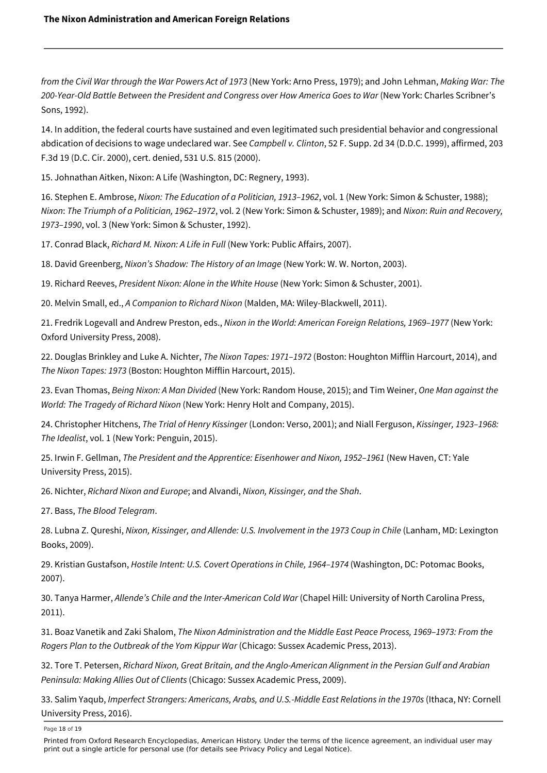*from the Civil War through the War Powers Act of 1973* (New York: Arno Press, 1979); and John Lehman, *Making War: The 200-Year-Old Battle Between the President and Congress over How America Goes to War* (New York: Charles Scribner's Sons, 1992).

<span id="page-18-0"></span>[14.](#page-11-0) In addition, the federal courts have sustained and even legitimated such presidential behavior and congressional abdication of decisions to wage undeclared war. See *Campbell v. Clinton*, 52 F. Supp. 2d 34 (D.D.C. 1999), affirmed, 203 F.3d 19 (D.C. Cir. 2000), cert. denied, 531 U.S. 815 (2000).

<span id="page-18-1"></span>[15.](#page-12-0) Johnathan Aitken, Nixon: A Life (Washington, DC: Regnery, 1993).

<span id="page-18-2"></span>[16.](#page-12-1) Stephen E. Ambrose, *Nixon: The Education of a Politician, 1913–1962*, vol. 1 (New York: Simon & Schuster, 1988); *Nixon*: *The Triumph of a Politician, 1962–1972*, vol. 2 (New York: Simon & Schuster, 1989); and *Nixon*: *Ruin and Recovery, 1973–1990*, vol. 3 (New York: Simon & Schuster, 1992).

<span id="page-18-3"></span>[17.](#page-12-2) Conrad Black, *Richard M. Nixon: A Life in Full* (New York: Public Affairs, 2007).

<span id="page-18-4"></span>[18.](#page-13-0) David Greenberg, *Nixon's Shadow: The History of an Image* (New York: W. W. Norton, 2003).

<span id="page-18-5"></span>[19.](#page-13-1) Richard Reeves, *President Nixon: Alone in the White House* (New York: Simon & Schuster, 2001).

<span id="page-18-6"></span>[20.](#page-13-2) Melvin Small, ed., *A Companion to Richard Nixon* (Malden, MA: Wiley-Blackwell, 2011).

<span id="page-18-7"></span>[21.](#page-13-3) Fredrik Logevall and Andrew Preston, eds., *Nixon in the World: American Foreign Relations, 1969–1977* (New York: Oxford University Press, 2008).

<span id="page-18-8"></span>[22.](#page-13-4) Douglas Brinkley and Luke A. Nichter, *The Nixon Tapes: 1971–1972* (Boston: Houghton Mifflin Harcourt, 2014), and *The Nixon Tapes: 1973* (Boston: Houghton Mifflin Harcourt, 2015).

<span id="page-18-9"></span>[23.](#page-13-5) Evan Thomas, *Being Nixon: A Man Divided* (New York: Random House, 2015); and Tim Weiner, *One Man against the World: The Tragedy of Richard Nixon* (New York: Henry Holt and Company, 2015).

<span id="page-18-10"></span>[24.](#page-13-6) Christopher Hitchens, *The Trial of Henry Kissinger* (London: Verso, 2001); and Niall Ferguson, *Kissinger, 1923–1968: The Idealist*, vol. 1 (New York: Penguin, 2015).

<span id="page-18-11"></span>[25.](#page-13-7) Irwin F. Gellman, *The President and the Apprentice: Eisenhower and Nixon, 1952–1961* (New Haven, CT: Yale University Press, 2015).

<span id="page-18-12"></span>[26.](#page-13-8) Nichter, *Richard Nixon and Europe*; and Alvandi, *Nixon, Kissinger, and the Shah*.

<span id="page-18-13"></span>[27.](#page-13-9) Bass, *The Blood Telegram*.

<span id="page-18-14"></span>[28.](#page-14-0) Lubna Z. Qureshi, *Nixon, Kissinger, and Allende: U.S. Involvement in the 1973 Coup in Chile* (Lanham, MD: Lexington Books, 2009).

<span id="page-18-15"></span>[29.](#page-14-1) Kristian Gustafson, *Hostile Intent: U.S. Covert Operations in Chile, 1964–1974* (Washington, DC: Potomac Books, 2007).

<span id="page-18-16"></span>[30.](#page-14-2) Tanya Harmer, *Allende's Chile and the Inter-American Cold War* (Chapel Hill: University of North Carolina Press, 2011).

<span id="page-18-17"></span>[31.](#page-14-3) Boaz Vanetik and Zaki Shalom, *The Nixon Administration and the Middle East Peace Process, 1969–1973: From the Rogers Plan to the Outbreak of the Yom Kippur War* (Chicago: Sussex Academic Press, 2013).

<span id="page-18-18"></span>[32.](#page-14-4) Tore T. Petersen, *Richard Nixon, Great Britain, and the Anglo-American Alignment in the Persian Gulf and Arabian Peninsula: Making Allies Out of Clients* (Chicago: Sussex Academic Press, 2009).

<span id="page-18-19"></span>[33.](#page-14-5) Salim Yaqub, *Imperfect Strangers: Americans, Arabs, and U.S.-Middle East Relations in the 1970s* (Ithaca, NY: Cornell University Press, 2016).

Page 18 of 19

Printed from Oxford Research Encyclopedias, American History. Under the terms of the licence agreement, an individual user may print out a single article for personal use (for details see Privacy Policy and Legal Notice).